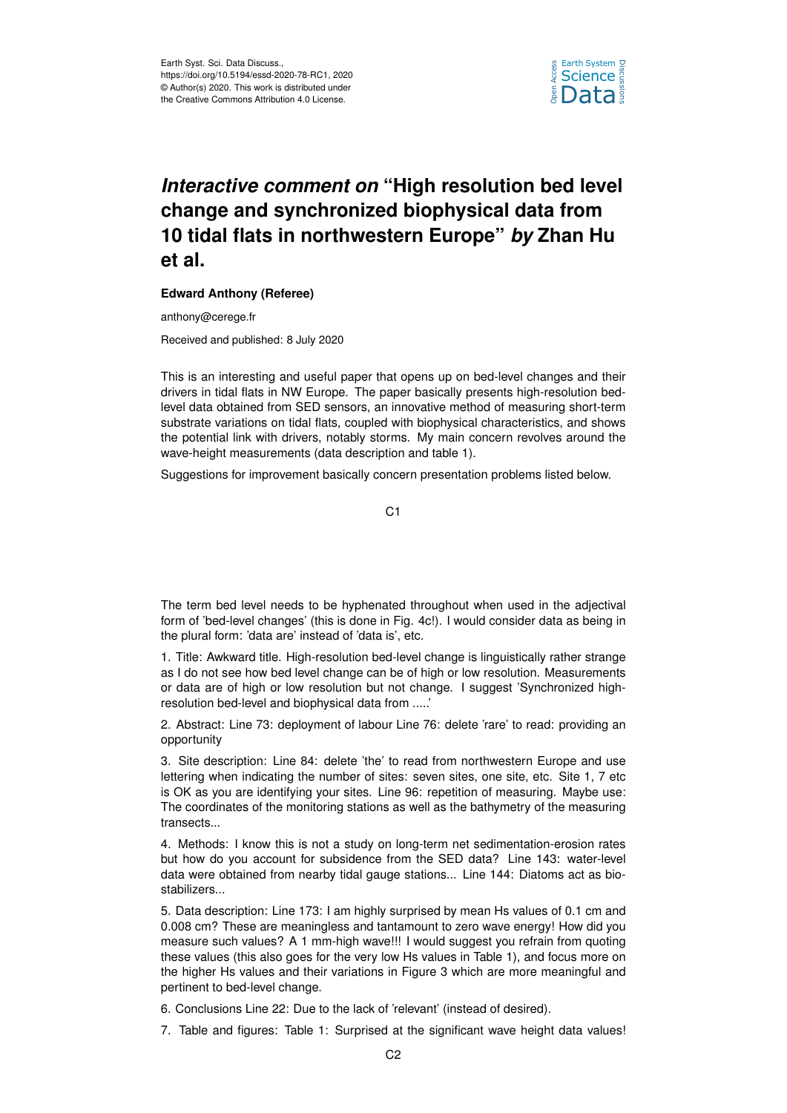

## *Interactive comment on* **"High resolution bed level change and synchronized biophysical data from 10 tidal flats in northwestern Europe"** *by* **Zhan Hu et al.**

## **Edward Anthony (Referee)**

anthony@cerege.fr

Received and published: 8 July 2020

This is an interesting and useful paper that opens up on bed-level changes and their drivers in tidal flats in NW Europe. The paper basically presents high-resolution bedlevel data obtained from SED sensors, an innovative method of measuring short-term substrate variations on tidal flats, coupled with biophysical characteristics, and shows the potential link with drivers, notably storms. My main concern revolves around the wave-height measurements (data description and table 1).

Suggestions for improvement basically concern presentation problems listed below.

C1

The term bed level needs to be hyphenated throughout when used in the adjectival form of 'bed-level changes' (this is done in Fig. 4c!). I would consider data as being in the plural form: 'data are' instead of 'data is', etc.

1. Title: Awkward title. High-resolution bed-level change is linguistically rather strange as I do not see how bed level change can be of high or low resolution. Measurements or data are of high or low resolution but not change. I suggest 'Synchronized highresolution bed-level and biophysical data from .....'

2. Abstract: Line 73: deployment of labour Line 76: delete 'rare' to read: providing an opportunity

3. Site description: Line 84: delete 'the' to read from northwestern Europe and use lettering when indicating the number of sites: seven sites, one site, etc. Site 1, 7 etc is OK as you are identifying your sites. Line 96: repetition of measuring. Maybe use: The coordinates of the monitoring stations as well as the bathymetry of the measuring transects...

4. Methods: I know this is not a study on long-term net sedimentation-erosion rates but how do you account for subsidence from the SED data? Line 143: water-level data were obtained from nearby tidal gauge stations... Line 144: Diatoms act as biostabilizers...

5. Data description: Line 173: I am highly surprised by mean Hs values of 0.1 cm and 0.008 cm? These are meaningless and tantamount to zero wave energy! How did you measure such values? A 1 mm-high wave!!! I would suggest you refrain from quoting these values (this also goes for the very low Hs values in Table 1), and focus more on the higher Hs values and their variations in Figure 3 which are more meaningful and pertinent to bed-level change.

6. Conclusions Line 22: Due to the lack of 'relevant' (instead of desired).

7. Table and figures: Table 1: Surprised at the significant wave height data values!